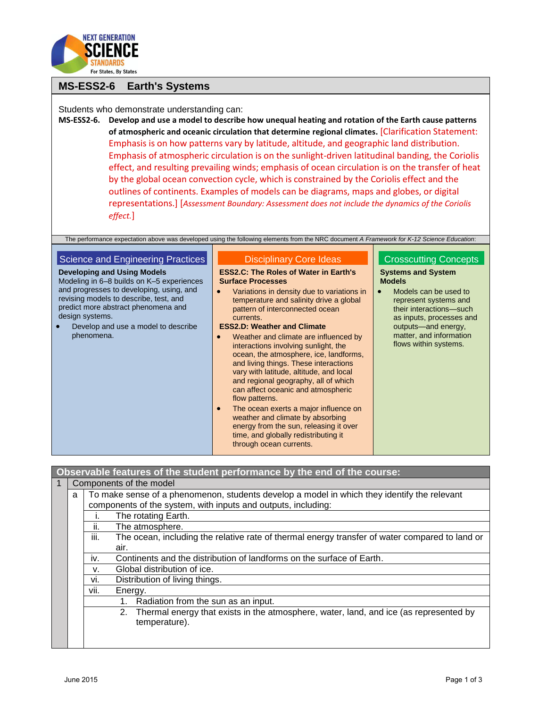

## **MS-ESS2-6 Earth's Systems**

Students who demonstrate understanding can:

**MS-ESS2-6. Develop and use a model to describe how unequal heating and rotation of the Earth cause patterns of atmospheric and oceanic circulation that determine regional climates.** [Clarification Statement: Emphasis is on how patterns vary by latitude, altitude, and geographic land distribution. Emphasis of atmospheric circulation is on the sunlight-driven latitudinal banding, the Coriolis effect, and resulting prevailing winds; emphasis of ocean circulation is on the transfer of heat by the global ocean convection cycle, which is constrained by the Coriolis effect and the outlines of continents. Examples of models can be diagrams, maps and globes, or digital representations.] [*Assessment Boundary: Assessment does not include the dynamics of the Coriolis effect.*]

The performance expectation above was developed using the following elements from the NRC document *A Framework for K-12 Science Education*:

| Science and Engineering Practices                                                                                                                                                                                                                                                    | <b>Disciplinary Core Ideas</b>                                                                                                                                                                                                                                                                                                                                                                                                                                                                                                                                                                                                                                                                                                                                                             | <b>Crosscutting Concepts</b>                                                                                                                                                                                                   |
|--------------------------------------------------------------------------------------------------------------------------------------------------------------------------------------------------------------------------------------------------------------------------------------|--------------------------------------------------------------------------------------------------------------------------------------------------------------------------------------------------------------------------------------------------------------------------------------------------------------------------------------------------------------------------------------------------------------------------------------------------------------------------------------------------------------------------------------------------------------------------------------------------------------------------------------------------------------------------------------------------------------------------------------------------------------------------------------------|--------------------------------------------------------------------------------------------------------------------------------------------------------------------------------------------------------------------------------|
| <b>Developing and Using Models</b><br>Modeling in 6–8 builds on K–5 experiences<br>and progresses to developing, using, and<br>revising models to describe, test, and<br>predict more abstract phenomena and<br>design systems.<br>Develop and use a model to describe<br>phenomena. | <b>ESS2.C: The Roles of Water in Earth's</b><br><b>Surface Processes</b><br>Variations in density due to variations in<br>temperature and salinity drive a global<br>pattern of interconnected ocean<br>currents.<br><b>ESS2.D: Weather and Climate</b><br>Weather and climate are influenced by<br>$\bullet$<br>interactions involving sunlight, the<br>ocean, the atmosphere, ice, landforms,<br>and living things. These interactions<br>vary with latitude, altitude, and local<br>and regional geography, all of which<br>can affect oceanic and atmospheric<br>flow patterns.<br>The ocean exerts a major influence on<br>$\bullet$<br>weather and climate by absorbing<br>energy from the sun, releasing it over<br>time, and globally redistributing it<br>through ocean currents. | <b>Systems and System</b><br><b>Models</b><br>Models can be used to<br>represent systems and<br>their interactions-such<br>as inputs, processes and<br>outputs-and energy,<br>matter, and information<br>flows within systems. |

**Observable features of the student performance by the end of the course:**

| $\vert$ 1 | Components of the model                                                                                |                                                                                             |                                                                                             |  |  |  |  |
|-----------|--------------------------------------------------------------------------------------------------------|---------------------------------------------------------------------------------------------|---------------------------------------------------------------------------------------------|--|--|--|--|
|           | a                                                                                                      | To make sense of a phenomenon, students develop a model in which they identify the relevant |                                                                                             |  |  |  |  |
|           |                                                                                                        | components of the system, with inputs and outputs, including:                               |                                                                                             |  |  |  |  |
|           |                                                                                                        | The rotating Earth.                                                                         |                                                                                             |  |  |  |  |
|           |                                                                                                        | The atmosphere.<br>ii.                                                                      |                                                                                             |  |  |  |  |
|           | iii.<br>The ocean, including the relative rate of thermal energy transfer of water compared to land or |                                                                                             |                                                                                             |  |  |  |  |
|           |                                                                                                        | air.                                                                                        |                                                                                             |  |  |  |  |
|           | Continents and the distribution of landforms on the surface of Earth.<br>İV.                           |                                                                                             |                                                                                             |  |  |  |  |
|           | Global distribution of ice.<br>V.                                                                      |                                                                                             |                                                                                             |  |  |  |  |
|           | vi.<br>Distribution of living things.                                                                  |                                                                                             |                                                                                             |  |  |  |  |
|           | Energy.<br>vii.                                                                                        |                                                                                             |                                                                                             |  |  |  |  |
|           | Radiation from the sun as an input.<br>1.                                                              |                                                                                             |                                                                                             |  |  |  |  |
|           |                                                                                                        |                                                                                             | Thermal energy that exists in the atmosphere, water, land, and ice (as represented by<br>2. |  |  |  |  |
|           |                                                                                                        |                                                                                             | temperature).                                                                               |  |  |  |  |
|           |                                                                                                        |                                                                                             |                                                                                             |  |  |  |  |
|           |                                                                                                        |                                                                                             |                                                                                             |  |  |  |  |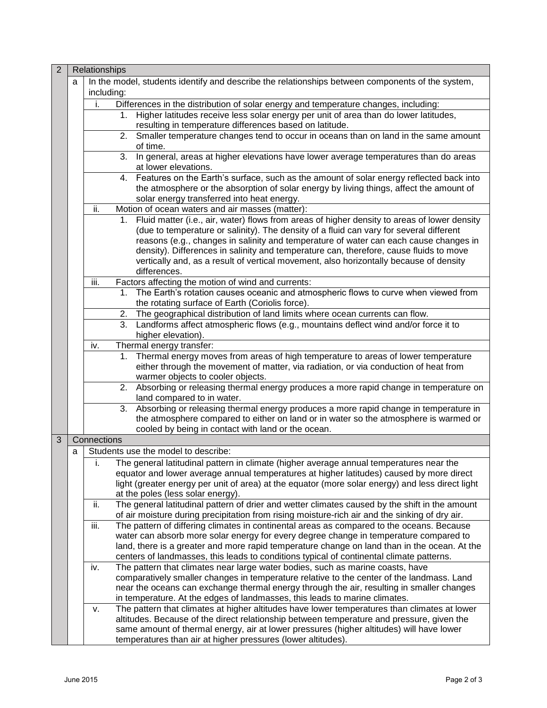| $\overline{2}$ |   | Relationships                                          |    |                                                                                                  |  |  |
|----------------|---|--------------------------------------------------------|----|--------------------------------------------------------------------------------------------------|--|--|
|                | a | including:                                             |    | In the model, students identify and describe the relationships between components of the system, |  |  |
|                |   | i.                                                     |    | Differences in the distribution of solar energy and temperature changes, including:              |  |  |
|                |   |                                                        |    | 1. Higher latitudes receive less solar energy per unit of area than do lower latitudes,          |  |  |
|                |   |                                                        |    | resulting in temperature differences based on latitude.                                          |  |  |
|                |   |                                                        |    | 2. Smaller temperature changes tend to occur in oceans than on land in the same amount           |  |  |
|                |   |                                                        |    | of time.                                                                                         |  |  |
|                |   |                                                        | 3. | In general, areas at higher elevations have lower average temperatures than do areas             |  |  |
|                |   |                                                        |    | at lower elevations.                                                                             |  |  |
|                |   |                                                        |    | 4. Features on the Earth's surface, such as the amount of solar energy reflected back into       |  |  |
|                |   |                                                        |    | the atmosphere or the absorption of solar energy by living things, affect the amount of          |  |  |
|                |   |                                                        |    | solar energy transferred into heat energy.                                                       |  |  |
|                |   | Motion of ocean waters and air masses (matter):<br>ii. |    |                                                                                                  |  |  |
|                |   |                                                        |    | 1. Fluid matter (i.e., air, water) flows from areas of higher density to areas of lower density  |  |  |
|                |   |                                                        |    | (due to temperature or salinity). The density of a fluid can vary for several different          |  |  |
|                |   |                                                        |    | reasons (e.g., changes in salinity and temperature of water can each cause changes in            |  |  |
|                |   |                                                        |    | density). Differences in salinity and temperature can, therefore, cause fluids to move           |  |  |
|                |   |                                                        |    | vertically and, as a result of vertical movement, also horizontally because of density           |  |  |
|                |   |                                                        |    | differences.                                                                                     |  |  |
|                |   | iii.                                                   |    | Factors affecting the motion of wind and currents:                                               |  |  |
|                |   |                                                        | 1. | The Earth's rotation causes oceanic and atmospheric flows to curve when viewed from              |  |  |
|                |   |                                                        |    | the rotating surface of Earth (Coriolis force).                                                  |  |  |
|                |   |                                                        | 2. | The geographical distribution of land limits where ocean currents can flow.                      |  |  |
|                |   |                                                        | 3. | Landforms affect atmospheric flows (e.g., mountains deflect wind and/or force it to              |  |  |
|                |   |                                                        |    | higher elevation).                                                                               |  |  |
|                |   | iv.                                                    |    | Thermal energy transfer:                                                                         |  |  |
|                |   |                                                        | 1. | Thermal energy moves from areas of high temperature to areas of lower temperature                |  |  |
|                |   |                                                        |    | either through the movement of matter, via radiation, or via conduction of heat from             |  |  |
|                |   |                                                        |    | warmer objects to cooler objects.                                                                |  |  |
|                |   |                                                        |    | 2. Absorbing or releasing thermal energy produces a more rapid change in temperature on          |  |  |
|                |   |                                                        |    | land compared to in water.                                                                       |  |  |
|                |   |                                                        | 3. | Absorbing or releasing thermal energy produces a more rapid change in temperature in             |  |  |
|                |   |                                                        |    | the atmosphere compared to either on land or in water so the atmosphere is warmed or             |  |  |
|                |   |                                                        |    | cooled by being in contact with land or the ocean.                                               |  |  |
| 3              |   | Connections                                            |    |                                                                                                  |  |  |
|                | а |                                                        |    | Students use the model to describe:                                                              |  |  |
|                |   | i.                                                     |    | The general latitudinal pattern in climate (higher average annual temperatures near the          |  |  |
|                |   |                                                        |    | equator and lower average annual temperatures at higher latitudes) caused by more direct         |  |  |
|                |   |                                                        |    | light (greater energy per unit of area) at the equator (more solar energy) and less direct light |  |  |
|                |   |                                                        |    | at the poles (less solar energy).                                                                |  |  |
|                |   | ii.                                                    |    | The general latitudinal pattern of drier and wetter climates caused by the shift in the amount   |  |  |
|                |   |                                                        |    | of air moisture during precipitation from rising moisture-rich air and the sinking of dry air.   |  |  |
|                |   | iii.                                                   |    | The pattern of differing climates in continental areas as compared to the oceans. Because        |  |  |
|                |   |                                                        |    | water can absorb more solar energy for every degree change in temperature compared to            |  |  |
|                |   |                                                        |    | land, there is a greater and more rapid temperature change on land than in the ocean. At the     |  |  |
|                |   |                                                        |    | centers of landmasses, this leads to conditions typical of continental climate patterns.         |  |  |
|                |   | iv.                                                    |    | The pattern that climates near large water bodies, such as marine coasts, have                   |  |  |
|                |   |                                                        |    | comparatively smaller changes in temperature relative to the center of the landmass. Land        |  |  |
|                |   |                                                        |    | near the oceans can exchange thermal energy through the air, resulting in smaller changes        |  |  |
|                |   |                                                        |    | in temperature. At the edges of landmasses, this leads to marine climates.                       |  |  |
|                |   | v.                                                     |    | The pattern that climates at higher altitudes have lower temperatures than climates at lower     |  |  |
|                |   |                                                        |    | altitudes. Because of the direct relationship between temperature and pressure, given the        |  |  |
|                |   |                                                        |    | same amount of thermal energy, air at lower pressures (higher altitudes) will have lower         |  |  |
|                |   |                                                        |    | temperatures than air at higher pressures (lower altitudes).                                     |  |  |